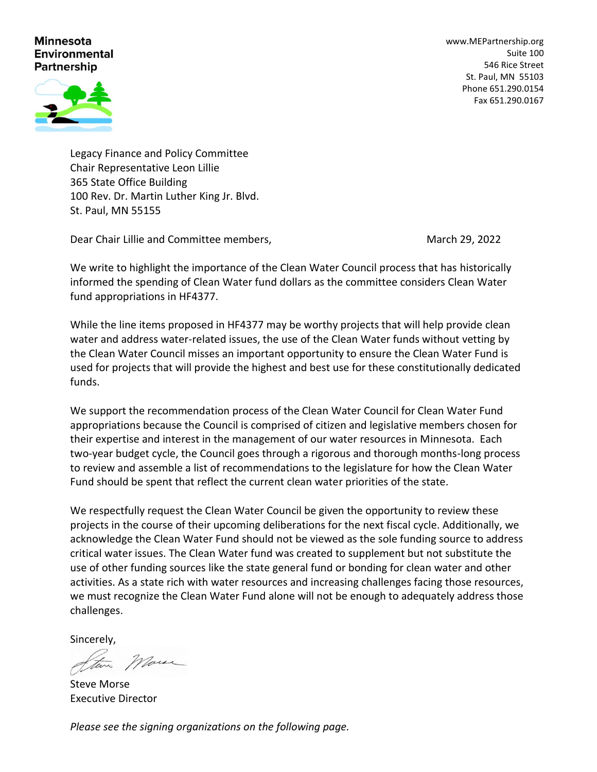## **Minnesota Environmental** Partnership

[www.MEPartnership.org](http://www.mepartnership.org/) Suite 100 546 Rice Street St. Paul, MN 55103 Phone 651.290.0154 Fax 651.290.0167



Legacy Finance and Policy Committee Chair Representative Leon Lillie 365 State Office Building 100 Rev. Dr. Martin Luther King Jr. Blvd. St. Paul, MN 55155

Dear Chair Lillie and Committee members, March 29, 2022 March 29, 2022

We write to highlight the importance of the Clean Water Council process that has historically informed the spending of Clean Water fund dollars as the committee considers Clean Water fund appropriations in HF4377.

While the line items proposed in HF4377 may be worthy projects that will help provide clean water and address water-related issues, the use of the Clean Water funds without vetting by the Clean Water Council misses an important opportunity to ensure the Clean Water Fund is used for projects that will provide the highest and best use for these constitutionally dedicated funds.

We support the recommendation process of the Clean Water Council for Clean Water Fund appropriations because the Council is comprised of citizen and legislative members chosen for their expertise and interest in the management of our water resources in Minnesota. Each two-year budget cycle, the Council goes through a rigorous and thorough months-long process to review and assemble a list of recommendations to the legislature for how the Clean Water Fund should be spent that reflect the current clean water priorities of the state.

We respectfully request the Clean Water Council be given the opportunity to review these projects in the course of their upcoming deliberations for the next fiscal cycle. Additionally, we acknowledge the Clean Water Fund should not be viewed as the sole funding source to address critical water issues. The Clean Water fund was created to supplement but not substitute the use of other funding sources like the state general fund or bonding for clean water and other activities. As a state rich with water resources and increasing challenges facing those resources, we must recognize the Clean Water Fund alone will not be enough to adequately address those challenges.

Sincerely,

Marce

Steve Morse Executive Director

*Please see the signing organizations on the following page.*